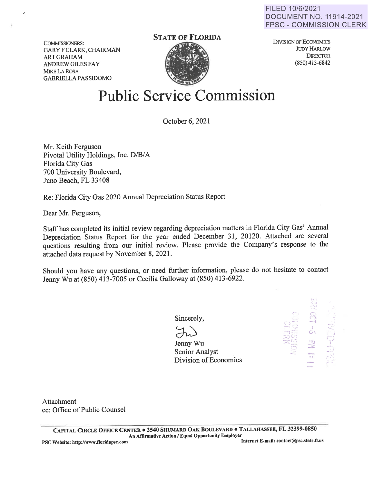FILED 10/6/2021 DOCUMENT NO. 11914-2021 FPSC - COMMISSION CLERK

COMMISSIONERS: GARY F CLARK, CHAIRMAN ARTGRAHAM ANDREW GILES FAY **MIKE LA ROSA** GABRIELLA PASSIDOMO

## **STATE OF FLORIDA**



DIVISION OF ECONOMICS JUDY HARLOW **DIRECTOR** (850) 413-6842

## **Public Service Commission**

October 6, 2021

Mr. Keith Ferguson Pivotal Utility Holdings, Inc. D/B/A Florida City Gas 700 University Boulevard, Juno Beach, FL 33408

Re: Florida City Gas 2020 Annual Depreciation Status Report

Dear Mr. Ferguson,

Staff has completed its initial review regarding depreciation matters in Florida City Gas' Annual Depreciation Status Report for the year ended December 31, 20120. Attached are several questions resulting from our initial review. Please provide the Company's response to the attached data request by November 8, 2021.

Should you have any questions, or need further information, please do not hesitate to contact Jenny Wu at (850) 413-7005 or Cecilia Galloway at (850) 413-6922.

Sincerely,

Jenny Wu Senior Analyst Division of Economics



Attachment cc: Office of Public Counsel

**CAPITAL CIRCLE OFFICE CENTER** • **2540 SHUMARD OAK BOULEVARD** • **TALLAHASSEE, FL 32399-0850 An Affirmative Action** / **Equal Opportunity Employer**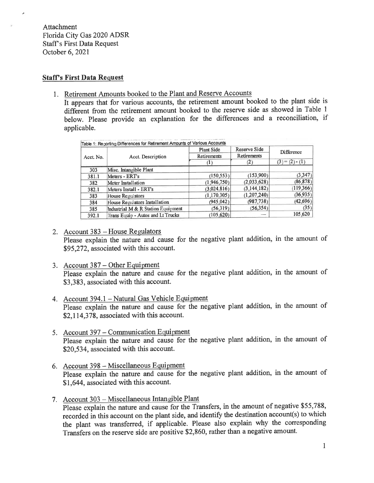Attachment Florida City Gas 2020 ADSR Staff's First Data Request October 6, 2021

## **Staff's First Data Request**

1. Retirement Amounts booked to the Plant and Reserve Accounts

It appears that for various accounts, the retirement amount booked to the plant side is different from the retirement amount booked to the reserve side as showed in Table 1 below. Please provide an explanation for the differences and a reconciliation, if applicable.

| Acct. No. | Acct. Description                  | Plant Side<br>Retirements | Reserve Side<br>Retirements<br>(2) | Difference<br>$(3) = (2) \cdot (1)$ |       |                        |           |           |         |
|-----------|------------------------------------|---------------------------|------------------------------------|-------------------------------------|-------|------------------------|-----------|-----------|---------|
|           |                                    |                           |                                    |                                     | 303   | Misc. Intangible Plant |           |           |         |
|           |                                    |                           |                                    |                                     | 381.1 | Meters - ERT's         | (150.553) | (153,900) | (3.347) |
| 382       | Meter Installation                 | (1,946,750)               | (2.033.628)                        | (86, 878)                           |       |                        |           |           |         |
| 382.1     | Meters Install - ERT's             | (3.024.816)               | (3, 144, 182)                      | (119, 366)                          |       |                        |           |           |         |
| 383       | House Regulators                   | (1, 170, 305)             | (1.207.240)                        | (36.935)                            |       |                        |           |           |         |
| 384       | House Regulators Installation      | (945.042)                 | (987, 738)                         | (42, 696)                           |       |                        |           |           |         |
| 385       | Industrial M & R Station Equipment | (56, 319)                 | (56, 354)                          | (35)                                |       |                        |           |           |         |
| 392.1     | Trans Equip - Autos and Lt Trucks  | 105.620)                  |                                    | 105,620                             |       |                        |           |           |         |

- 2. Account 383 House Regulators Please explain the nature and cause for the negative plant addition, in the amount of \$95,272, associated with this account.
- 3. Account 387 Other Equipment Please explain the nature and cause for the negative plant addition, in the amount of \$3,383, associated with this account.
- 4. Account 394.1 Natural Gas Vehicle Equipment Please explain the nature and cause for the negative plant addition, in the amount of \$2,114,378, associated with this account.
- 5. Account 397 Communication Equipment Please explain the nature and cause for the negative plant addition, in the amount of \$20,534, associated with this account.
- 6. Account 398 Miscellaneous Equipment Please explain the nature and cause for the negative plant addition, in the amount of \$1,644, associated with this account.
- 7. Account 303 Miscellaneous Intangible Plant

Please explain the nature and cause for the Transfers, in the amount of negative \$55,788, recorded in this account on the plant side, and identify the destination account(s) to which the plant was transferred, if applicable. Please also explain why the corresponding Transfers on the reserve side are positive \$2,860, rather than a negative amount.